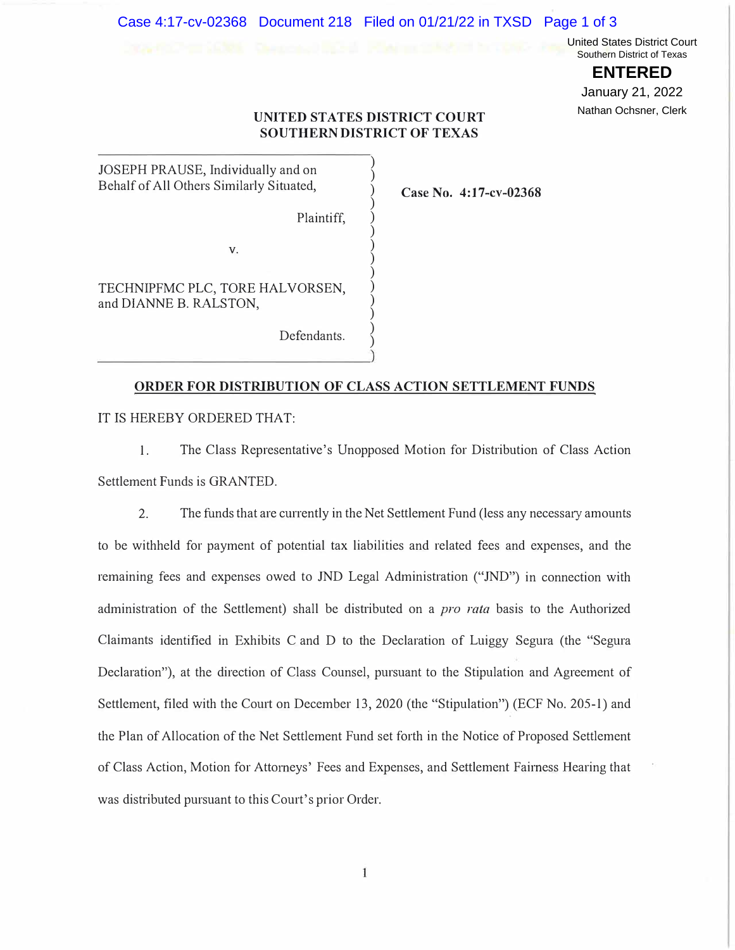### Case 4:17-cv-02368 Document 218 Filed on 01/21/22 in TXSD Page 1 of 3

United States District Court Southern District of Texas

> **ENTERED** January 21, 2022

# Nathan Ochsner, Clerk

# **UNITED STATES DISTRICT COURT SOUTHERN DISTRICT OF TEXAS**

 $\frac{1}{2}$  $\hat{S}$  $\tilde{\mathcal{L}}$  $\tilde{\mathcal{S}}$  $\tilde{\mathcal{L}}$  $\frac{1}{2}$  $\tilde{\mathcal{L}}$  $\hat{S}$  $\tilde{\mathcal{L}}$  $\frac{1}{2}$  $\hat{y}$  $\tilde{\mathcal{L}}$  $\tilde{\mathcal{L}}$  $\frac{1}{2}$ 

**Case No. 4:17-cv-02368** 

JOSEPH PRAUSE, Individually and on Behalf of All Others Similarly Situated,

Plaintiff,

V.

TECHNIPFMC PLC, TORE HALVORSEN, and DIANNE B. RALSTON,

Defendants.

#### **ORDER FOR DISTRIBUTION OF CLASS ACTION SETTLEMENT FUNDS**

IT IS HEREBY ORDERED THAT:

1. The Class Representative's Unopposed Motion for Distribution of Class Action Settlement Funds is GRANTED.

2. The funds that are currently in the Net Settlement Fund (less any necessary amounts to be withheld for payment of potential tax liabilities and related fees and expenses, and the remaining fees and expenses owed to JND Legal Administration ("JND") in connection with administration of the Settlement) shall be distiibuted on a *pro rata* basis to the Authorized Claimants identified in Exhibits C and D to the Declaration of Luiggy Segura (the "Segura Declaration") , at the direction of Class Counsel, pursuant to the Stipulation and Agreement of Settlement, filed with the Court on December 13, 2020 (the "Stipulation") (ECF No. 205-1) and the Plan of Allocation of the Net Settlement Fund set forth in the Notice of Proposed Settlement of Class Action, Motion for Attorneys' Fees and Expenses, and Settlement Fairness Hearing that was distributed pursuant to this Court's prior Order.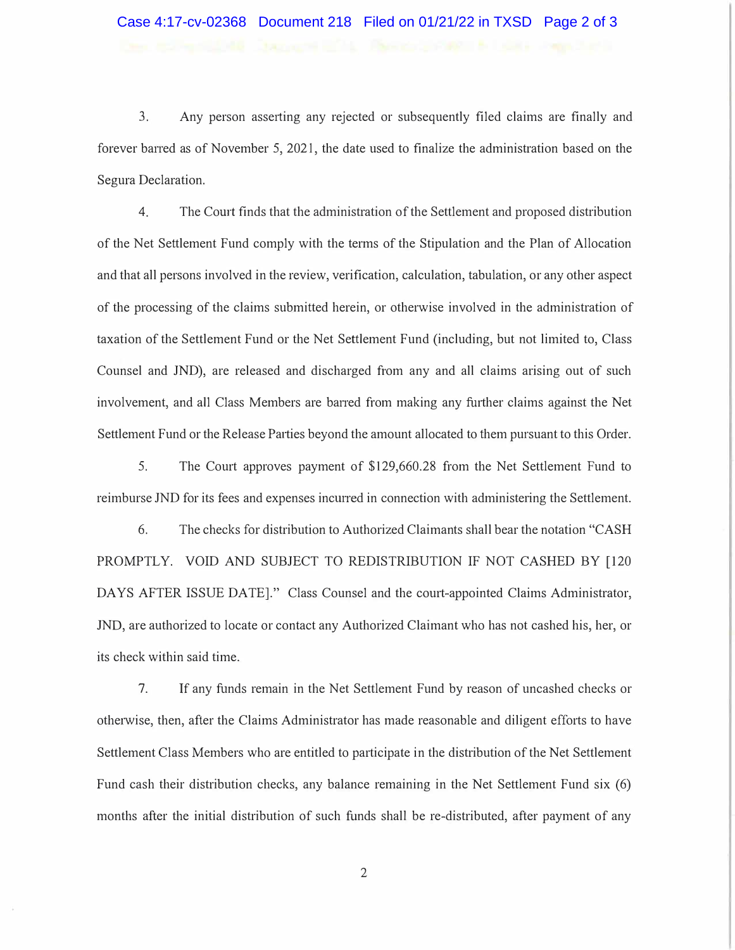## Case 4:17-cv-02368 Document 218 Filed on 01/21/22 in TXSD Page 2 of 3

3. Any person asserting any rejected or subsequently filed claims are finally and forever barred as of November 5, 2021, the date used to finalize the administration based on the Segura Declaration.

4. The Comi finds that the administration of the Settlement and proposed distribution of the Net Settlement Fund comply with the terms of the Stipulation and the Plan of Allocation and that all persons involved in the review, verification, calculation, tabulation, or any other aspect of the processing of the claims submitted herein, or otherwise involved in the administration of taxation of the Settlement Fund or the Net Settlement Fund (including, but not limited to, Class Counsel and JND), are released and discharged f <sup>r</sup>om any and all claims arising out of such involvement, and all Class Members are barred from making any further claims against the Net Settlement Fund or the Release Patties beyond the amount allocated to them pursuant to this Order.

5. The Court approves payment of \$129,660.28 from the Net Settlement Fund to reimburse JND for its fees and expenses incurred in connection with administering the Settlement.

6. The checks for distribution to Authorized Claimants shall bear the notation "CASH PROMPTLY. VOID AND SUBJECT TO REDISTRIBUTION IF NOT CASHED BY [120 DAYS AFTER ISSUE DATE]." Class Counsel and the court-appointed Claims Administrator, JND, are authorized to locate or contact any Authorized Claimant who has not cashed his, her, or its check within said time.

7. If any funds remain in the Net Settlement Fund by reason of uncashed checks or otherwise, then, after the Claims Administrator has made reasonable and diligent efforts to have Settlement Class Members who are entitled to participate in the distribution of the Net Settlement Fund cash their distribution checks, any balance remaining in the Net Settlement Fund six (6) months after the initial distribution of such funds shall be re-distributed, after payment of any